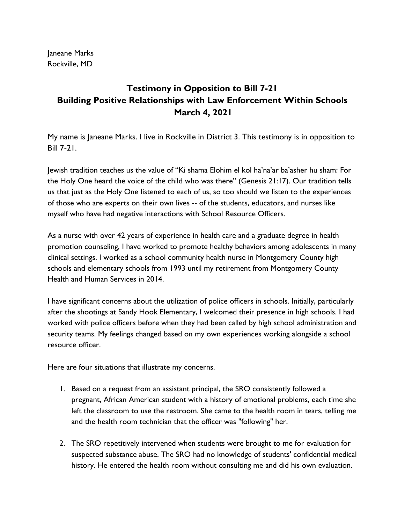Janeane Marks Rockville, MD

## **Testimony in Opposition to Bill 7-21 Building Positive Relationships with Law Enforcement Within Schools March 4, 2021**

My name is Janeane Marks. I live in Rockville in District 3. This testimony is in opposition to Bill 7-21.

Jewish tradition teaches us the value of "Ki shama Elohim el kol ha'na'ar ba'asher hu sham: For the Holy One heard the voice of the child who was there" (Genesis 21:17). Our tradition tells us that just as the Holy One listened to each of us, so too should we listen to the experiences of those who are experts on their own lives -- of the students, educators, and nurses like myself who have had negative interactions with School Resource Officers.

As a nurse with over 42 years of experience in health care and a graduate degree in health promotion counseling, I have worked to promote healthy behaviors among adolescents in many clinical settings. I worked as a school community health nurse in Montgomery County high schools and elementary schools from 1993 until my retirement from Montgomery County Health and Human Services in 2014.

I have significant concerns about the utilization of police officers in schools. Initially, particularly after the shootings at Sandy Hook Elementary, I welcomed their presence in high schools. I had worked with police officers before when they had been called by high school administration and security teams. My feelings changed based on my own experiences working alongside a school resource officer.

Here are four situations that illustrate my concerns.

- 1. Based on a request from an assistant principal, the SRO consistently followed a pregnant, African American student with a history of emotional problems, each time she left the classroom to use the restroom. She came to the health room in tears, telling me and the health room technician that the officer was "following" her.
- 2. The SRO repetitively intervened when students were brought to me for evaluation for suspected substance abuse. The SRO had no knowledge of students' confidential medical history. He entered the health room without consulting me and did his own evaluation.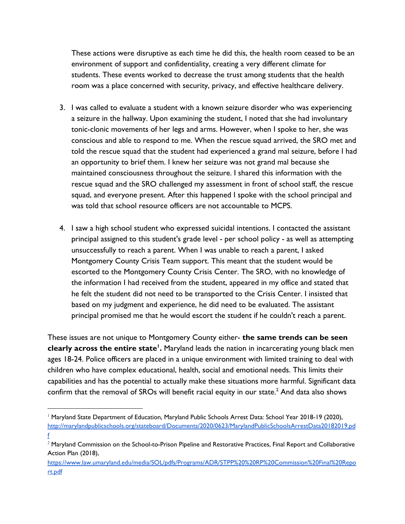These actions were disruptive as each time he did this, the health room ceased to be an environment of support and confidentiality, creating a very different climate for students. These events worked to decrease the trust among students that the health room was a place concerned with security, privacy, and effective healthcare delivery.

- 3. I was called to evaluate a student with a known seizure disorder who was experiencing a seizure in the hallway. Upon examining the student, I noted that she had involuntary tonic-clonic movements of her legs and arms. However, when I spoke to her, she was conscious and able to respond to me. When the rescue squad arrived, the SRO met and told the rescue squad that the student had experienced a grand mal seizure, before I had an opportunity to brief them. I knew her seizure was not grand mal because she maintained consciousness throughout the seizure. I shared this information with the rescue squad and the SRO challenged my assessment in front of school staff, the rescue squad, and everyone present. After this happened I spoke with the school principal and was told that school resource officers are not accountable to MCPS.
- 4. I saw a high school student who expressed suicidal intentions. I contacted the assistant principal assigned to this student's grade level - per school policy - as well as attempting unsuccessfully to reach a parent. When I was unable to reach a parent, I asked Montgomery County Crisis Team support. This meant that the student would be escorted to the Montgomery County Crisis Center. The SRO, with no knowledge of the information I had received from the student, appeared in my office and stated that he felt the student did not need to be transported to the Crisis Center. I insisted that based on my judgment and experience, he did need to be evaluated. The assistant principal promised me that he would escort the student if he couldn't reach a parent.

These issues are not unique to Montgomery County either- **the same trends can be seen clearly across the entire state<sup>1</sup> .** Maryland leads the nation in incarcerating young black men ages 18-24. Police officers are placed in a unique environment with limited training to deal with children who have complex educational, health, social and emotional needs. This limits their capabilities and has the potential to actually make these situations more harmful. Significant data confirm that the removal of SROs will benefit racial equity in our state. $^2$  And data also shows

<sup>&</sup>lt;sup>1</sup> Maryland State Department of Education, Maryland Public Schools Arrest Data: School Year 2018-19 (2020), [http://marylandpublicschools.org/stateboard/Documents/2020/0623/MarylandPublicSchoolsArrestData20182019.pd](http://marylandpublicschools.org/stateboard/Documents/2020/0623/MarylandPublicSchoolsArrestData20182019.pdf) [f](http://marylandpublicschools.org/stateboard/Documents/2020/0623/MarylandPublicSchoolsArrestData20182019.pdf)

<sup>&</sup>lt;sup>2</sup> Maryland Commission on the School-to-Prison Pipeline and Restorative Practices, Final Report and Collaborative Action Plan (2018),

[https://www.law.umaryland.edu/media/SOL/pdfs/Programs/ADR/STPP%20%20RP%20Commission%20Final%20Repo](https://www.law.umaryland.edu/media/SOL/pdfs/Programs/ADR/STPP%20%20RP%20Commission%20Final%20Report.pdf) [rt.pdf](https://www.law.umaryland.edu/media/SOL/pdfs/Programs/ADR/STPP%20%20RP%20Commission%20Final%20Report.pdf)